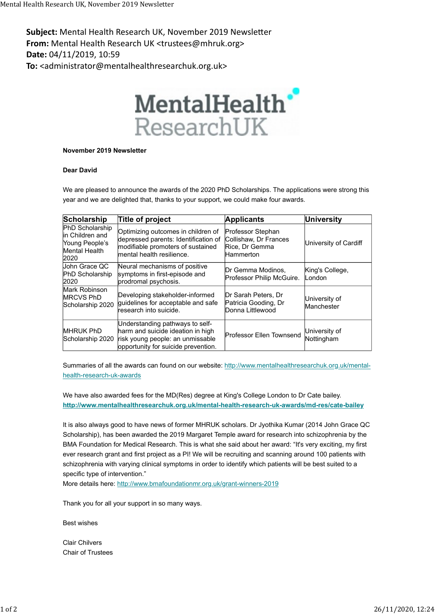Subject: Mental Health Research UK, November 2019 Newsletter From: Mental Health Research UK <trustees@mhruk.org> Date: 04/11/2019, 10:59 To: <administrator@mentalhealthresearchuk.org.uk> Mental Health Research UK, November 2019 Newsletter<br> **Subject:** Mental Health Research UK, November 2019 Newsletter<br> **From:** Mental Health Research UK <trustees@mhruk.org>



## November 2019 Newsletter

## Dear David

| 11/2019, 10:59                                                                       | Mental Health Research UK, November 2019 Newsletter<br>ental Health Research UK <trustees@mhruk.org><br/>inistrator@mentalhealthresearchuk.org.uk&gt;</trustees@mhruk.org>                  |                                                                           |                             |  |
|--------------------------------------------------------------------------------------|---------------------------------------------------------------------------------------------------------------------------------------------------------------------------------------------|---------------------------------------------------------------------------|-----------------------------|--|
|                                                                                      | MentalHealth <sup>®</sup><br>ResearchUK                                                                                                                                                     |                                                                           |                             |  |
| November 2019 Newsletter                                                             |                                                                                                                                                                                             |                                                                           |                             |  |
| <b>Dear David</b>                                                                    |                                                                                                                                                                                             |                                                                           |                             |  |
|                                                                                      |                                                                                                                                                                                             |                                                                           |                             |  |
|                                                                                      | We are pleased to announce the awards of the 2020 PhD Scholarships. The applications were strong this<br>year and we are delighted that, thanks to your support, we could make four awards. |                                                                           |                             |  |
|                                                                                      | Title of project                                                                                                                                                                            | <b>Applicants</b>                                                         | <b>University</b>           |  |
| Scholarship<br>PhD Scholarship<br>in Children and<br>Young People's<br>Mental Health | Optimizing outcomes in children of<br>depressed parents: Identification of<br>modifiable promoters of sustained<br>mental health resilience.                                                | Professor Stephan<br>Collishaw, Dr Frances<br>Rice, Dr Gemma<br>Hammerton | University of Cardiff       |  |
| 2020<br>John Grace QC<br>PhD Scholarship<br>2020                                     | Neural mechanisms of positive<br>symptoms in first-episode and<br>prodromal psychosis.                                                                                                      | Dr Gemma Modinos,<br>Professor Philip McGuire.                            | King's College,<br>London   |  |
| Mark Robinson<br><b>MRCVS PhD</b><br>Scholarship 2020                                | Developing stakeholder-informed<br>quidelines for acceptable and safe<br>research into suicide.                                                                                             | Dr Sarah Peters, Dr<br>Patricia Gooding, Dr<br>Donna Littlewood           | University of<br>Manchester |  |

Summaries of all the awards can found on our website: http://www.mentalhealthresearchuk.org.uk/mentalhealth-research-uk-awards

We have also awarded fees for the MD(Res) degree at King's College London to Dr Cate bailey. http://www.mentalhealthresearchuk.org.uk/mental-health-research-uk-awards/md-res/cate-bailey

It is also always good to have news of former MHRUK scholars. Dr Jyothika Kumar (2014 John Grace QC Scholarship), has been awarded the 2019 Margaret Temple award for research into schizophrenia by the BMA Foundation for Medical Research. This is what she said about her award: "It's very exciting, my first ever research grant and first project as a PI! We will be recruiting and scanning around 100 patients with schizophrenia with varying clinical symptoms in order to identify which patients will be best suited to a specific type of intervention."

More details here: http://www.bmafoundationmr.org.uk/grant-winners-2019

Thank you for all your support in so many ways.

Best wishes

Clair Chilvers Chair of Trustees